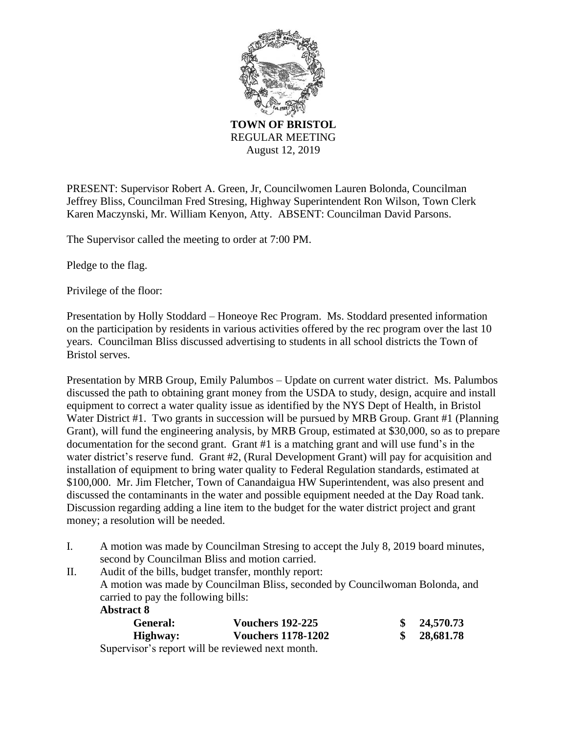

**TOWN OF BRISTOL** REGULAR MEETING August 12, 2019

PRESENT: Supervisor Robert A. Green, Jr, Councilwomen Lauren Bolonda, Councilman Jeffrey Bliss, Councilman Fred Stresing, Highway Superintendent Ron Wilson, Town Clerk Karen Maczynski, Mr. William Kenyon, Atty. ABSENT: Councilman David Parsons.

The Supervisor called the meeting to order at 7:00 PM.

Pledge to the flag.

Privilege of the floor:

Presentation by Holly Stoddard – Honeoye Rec Program. Ms. Stoddard presented information on the participation by residents in various activities offered by the rec program over the last 10 years. Councilman Bliss discussed advertising to students in all school districts the Town of Bristol serves.

Presentation by MRB Group, Emily Palumbos – Update on current water district. Ms. Palumbos discussed the path to obtaining grant money from the USDA to study, design, acquire and install equipment to correct a water quality issue as identified by the NYS Dept of Health, in Bristol Water District #1. Two grants in succession will be pursued by MRB Group. Grant #1 (Planning Grant), will fund the engineering analysis, by MRB Group, estimated at \$30,000, so as to prepare documentation for the second grant. Grant #1 is a matching grant and will use fund's in the water district's reserve fund. Grant #2, (Rural Development Grant) will pay for acquisition and installation of equipment to bring water quality to Federal Regulation standards, estimated at \$100,000. Mr. Jim Fletcher, Town of Canandaigua HW Superintendent, was also present and discussed the contaminants in the water and possible equipment needed at the Day Road tank. Discussion regarding adding a line item to the budget for the water district project and grant money; a resolution will be needed.

- I. A motion was made by Councilman Stresing to accept the July 8, 2019 board minutes, second by Councilman Bliss and motion carried.
- II. Audit of the bills, budget transfer, monthly report: A motion was made by Councilman Bliss, seconded by Councilwoman Bolonda, and carried to pay the following bills: **Abstract 8**

| General: | <b>Vouchers 192-225</b>                          | 24,570.73 |
|----------|--------------------------------------------------|-----------|
| Highway: | <b>Vouchers 1178-1202</b>                        | 28,681.78 |
|          | Supervisor's report will be reviewed next month. |           |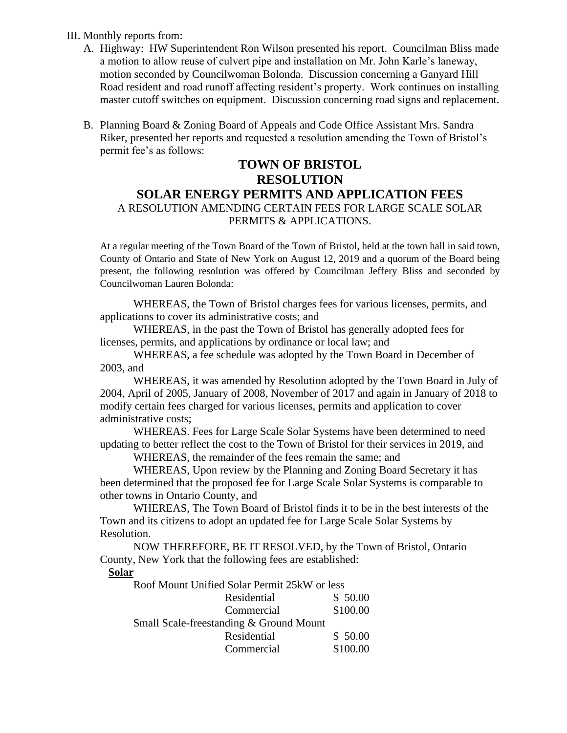### III. Monthly reports from:

- A. Highway: HW Superintendent Ron Wilson presented his report. Councilman Bliss made a motion to allow reuse of culvert pipe and installation on Mr. John Karle's laneway, motion seconded by Councilwoman Bolonda. Discussion concerning a Ganyard Hill Road resident and road runoff affecting resident's property. Work continues on installing master cutoff switches on equipment. Discussion concerning road signs and replacement.
- B. Planning Board & Zoning Board of Appeals and Code Office Assistant Mrs. Sandra Riker, presented her reports and requested a resolution amending the Town of Bristol's permit fee's as follows:

## **TOWN OF BRISTOL RESOLUTION SOLAR ENERGY PERMITS AND APPLICATION FEES** A RESOLUTION AMENDING CERTAIN FEES FOR LARGE SCALE SOLAR PERMITS & APPLICATIONS.

At a regular meeting of the Town Board of the Town of Bristol, held at the town hall in said town, County of Ontario and State of New York on August 12, 2019 and a quorum of the Board being present, the following resolution was offered by Councilman Jeffery Bliss and seconded by Councilwoman Lauren Bolonda:

WHEREAS, the Town of Bristol charges fees for various licenses, permits, and applications to cover its administrative costs; and

WHEREAS, in the past the Town of Bristol has generally adopted fees for licenses, permits, and applications by ordinance or local law; and

WHEREAS, a fee schedule was adopted by the Town Board in December of 2003, and

WHEREAS, it was amended by Resolution adopted by the Town Board in July of 2004, April of 2005, January of 2008, November of 2017 and again in January of 2018 to modify certain fees charged for various licenses, permits and application to cover administrative costs;

WHEREAS. Fees for Large Scale Solar Systems have been determined to need updating to better reflect the cost to the Town of Bristol for their services in 2019, and

WHEREAS, the remainder of the fees remain the same; and

WHEREAS, Upon review by the Planning and Zoning Board Secretary it has been determined that the proposed fee for Large Scale Solar Systems is comparable to other towns in Ontario County, and

WHEREAS, The Town Board of Bristol finds it to be in the best interests of the Town and its citizens to adopt an updated fee for Large Scale Solar Systems by Resolution.

NOW THEREFORE, BE IT RESOLVED, by the Town of Bristol, Ontario County, New York that the following fees are established:

### **Solar**

| Roof Mount Unified Solar Permit 25kW or less |          |  |  |  |  |
|----------------------------------------------|----------|--|--|--|--|
| Residential                                  | \$50.00  |  |  |  |  |
| Commercial                                   | \$100.00 |  |  |  |  |
| Small Scale-freestanding & Ground Mount      |          |  |  |  |  |
| Residential                                  | \$50.00  |  |  |  |  |
| Commercial                                   | \$100.00 |  |  |  |  |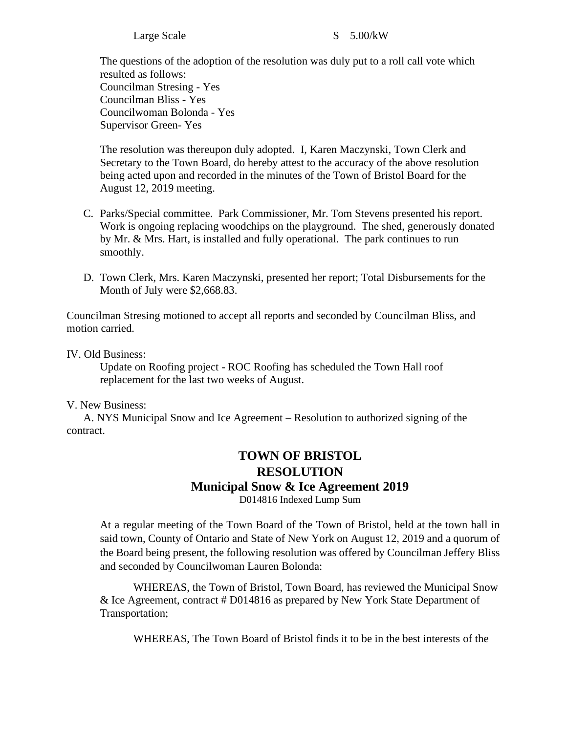#### Large Scale  $\qquad$  \$ 5.00/kW

The questions of the adoption of the resolution was duly put to a roll call vote which resulted as follows: Councilman Stresing - Yes Councilman Bliss - Yes Councilwoman Bolonda - Yes Supervisor Green- Yes

The resolution was thereupon duly adopted. I, Karen Maczynski, Town Clerk and Secretary to the Town Board, do hereby attest to the accuracy of the above resolution being acted upon and recorded in the minutes of the Town of Bristol Board for the August 12, 2019 meeting.

- C. Parks/Special committee. Park Commissioner, Mr. Tom Stevens presented his report. Work is ongoing replacing woodchips on the playground. The shed, generously donated by Mr. & Mrs. Hart, is installed and fully operational. The park continues to run smoothly.
- D. Town Clerk, Mrs. Karen Maczynski, presented her report; Total Disbursements for the Month of July were \$2,668.83.

Councilman Stresing motioned to accept all reports and seconded by Councilman Bliss, and motion carried.

IV. Old Business:

Update on Roofing project - ROC Roofing has scheduled the Town Hall roof replacement for the last two weeks of August.

V. New Business:

 A. NYS Municipal Snow and Ice Agreement – Resolution to authorized signing of the contract.

# **TOWN OF BRISTOL RESOLUTION Municipal Snow & Ice Agreement 2019**

D014816 Indexed Lump Sum

At a regular meeting of the Town Board of the Town of Bristol, held at the town hall in said town, County of Ontario and State of New York on August 12, 2019 and a quorum of the Board being present, the following resolution was offered by Councilman Jeffery Bliss and seconded by Councilwoman Lauren Bolonda:

WHEREAS, the Town of Bristol, Town Board, has reviewed the Municipal Snow & Ice Agreement, contract # D014816 as prepared by New York State Department of Transportation;

WHEREAS, The Town Board of Bristol finds it to be in the best interests of the